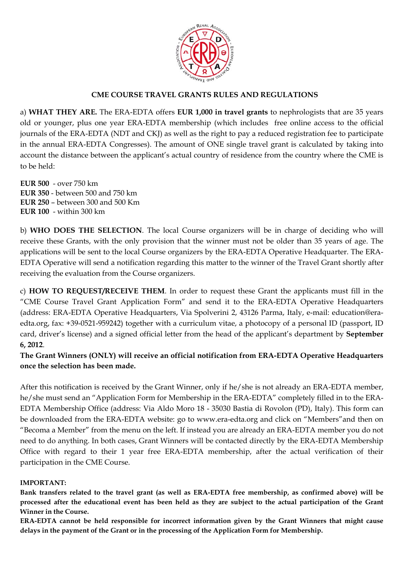

## **CME COURSE TRAVEL GRANTS RULES AND REGULATIONS**

a) **WHAT THEY ARE.** The ERA-EDTA offers **EUR 1,000 in travel grants** to nephrologists that are 35 years old or younger, plus one year ERA-EDTA membership (which includes free online access to the official journals of the ERA-EDTA (NDT and CKJ) as well as the right to pay a reduced registration fee to participate in the annual ERA-EDTA Congresses). The amount of ONE single travel grant is calculated by taking into account the distance between the applicant's actual country of residence from the country where the CME is to be held:

**EUR 500** - over 750 km **EUR 350** - between 500 and 750 km **EUR 250** – between 300 and 500 Km **EUR 100** - within 300 km

b) **WHO DOES THE SELECTION**. The local Course organizers will be in charge of deciding who will receive these Grants, with the only provision that the winner must not be older than 35 years of age. The applications will be sent to the local Course organizers by the ERA-EDTA Operative Headquarter. The ERA-EDTA Operative will send a notification regarding this matter to the winner of the Travel Grant shortly after receiving the evaluation from the Course organizers.

c) **HOW TO REQUEST/RECEIVE THEM**. In order to request these Grant the applicants must fill in the "CME Course Travel Grant Application Form" and send it to the ERA-EDTA Operative Headquarters (address: ERA-EDTA Operative Headquarters, Via Spolverini 2, 43126 Parma, Italy, e-mail: education@eraedta.org, fax: +39-0521-959242) together with a curriculum vitae, a photocopy of a personal ID (passport, ID card, driver's license) and a signed official letter from the head of the applicant's department by **September 6, 2012**.

**The Grant Winners (ONLY) will receive an official notification from ERA-EDTA Operative Headquarters once the selection has been made.** 

After this notification is received by the Grant Winner, only if he/she is not already an ERA-EDTA member, he/she must send an "Application Form for Membership in the ERA-EDTA" completely filled in to the ERA-EDTA Membership Office (address: Via Aldo Moro 18 - 35030 Bastia di Rovolon (PD), Italy). This form can be downloaded from the ERA-EDTA website: go to www.era-edta.org and click on "Members"and then on "Becoma a Member" from the menu on the left. If instead you are already an ERA-EDTA member you do not need to do anything. In both cases, Grant Winners will be contacted directly by the ERA-EDTA Membership Office with regard to their 1 year free ERA-EDTA membership, after the actual verification of their participation in the CME Course.

### **IMPORTANT:**

**Bank transfers related to the travel grant (as well as ERA-EDTA free membership, as confirmed above) will be processed after the educational event has been held as they are subject to the actual participation of the Grant Winner in the Course.** 

**ERA-EDTA cannot be held responsible for incorrect information given by the Grant Winners that might cause delays in the payment of the Grant or in the processing of the Application Form for Membership.**